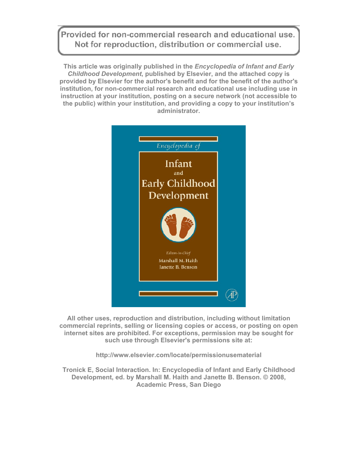Provided for non-commercial research and educational use. Not for reproduction, distribution or commercial use.

**This article was originally published in the** *Encyclopedia of Infant and Early Childhood Development***, published by Elsevier, and the attached copy is provided by Elsevier for the author's benefit and for the benefit of the author's institution, for non-commercial research and educational use including use in instruction at your institution, posting on a secure network (not accessible to the public) within your institution, and providing a copy to your institution's administrator.** 



**All other uses, reproduction and distribution, including without limitation commercial reprints, selling or licensing copies or access, or posting on open internet sites are prohibited. For exceptions, permission may be sought for such use through Elsevier's permissions site at:** 

**http://www.elsevier.com/locate/permissionusematerial** 

**Tronick E, Social Interaction. In: Encyclopedia of Infant and Early Childhood Development, ed. by Marshall M. Haith and Janette B. Benson. © 2008, Academic Press, San Diego**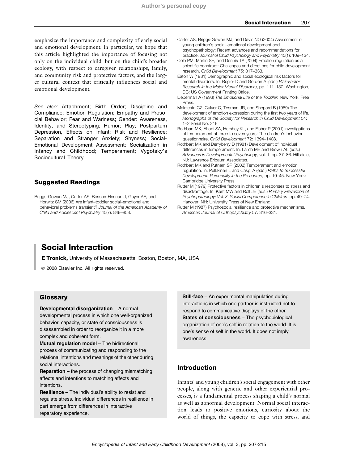emphasize the importance and complexity of early social and emotional development. In particular, we hope that this article highlighted the importance of focusing not only on the individual child, but on the child's broader ecology, with respect to caregiver relationships, family, and community risk and protective factors, and the larger cultural context that critically influences social and emotional development.

See also: Attachment; Birth Order; Discipline and Compliance; Emotion Regulation; Empathy and Prosocial Behavior; Fear and Wariness; Gender: Awareness, Identity, and Stereotyping; Humor; Play; Postpartum Depression, Effects on Infant; Risk and Resilience; Separation and Stranger Anxiety; Shyness; Social-Emotional Development Assessment; Socialization in Infancy and Childhood; Temperament; Vygotsky's Sociocultural Theory.

#### Suggested Readings

Briggs-Gowan MJ, Carter AS, Bosson-Heenan J, Guyer AE, and Horwitz SM (2006) Are infant–toddler social–emotional and behavioral problems transient? Journal of the American Academy of Child and Adolescent Psychiatry 45(7): 849–858.

- Carter AS, Briggs-Gowan MJ, and Davis NO (2004) Assessment of young children's social–emotional development and psychopathology: Recent advances and recommendations for practice. Journal of Child Psychology and Psychiatry 45(1): 109–134.
- Cole PM, Martin SE, and Dennis TA (2004) Emotion regulation as a scientific construct: Challenges and directions for child development research. Child Development 75: 317–333.
- Eaton W (1981) Demographic and social ecological risk factors for mental disorders. In: Regier D and Gordon A (eds.) Risk-Factor Research in the Major Mental Disorders, pp. 111–130. Washington, DC: US Government Printing Office.
- Lieberman A (1993) The Emotional Life of the Toddler. New York: Free Press.
- Malatesta CZ, Culver C, Tesman JR, and Shepard B (1989) The development of emotion expression during the first two years of life. Monographs of the Society for Research in Child Development 54: 1–2 Serial No. 219.
- Rothbart MK, Ahadi SA, Hershey KL, and Fisher P (2001) Investigations of temperament at three to seven years: The children's behavior questionnaire. Child Development 72: 1394–1408.
- Rothbart MK and Derryberry D (1981) Development of individual differences in temperament. In: Lamb ME and Brown AL (eds.) Advances in Developmental Psychology, vol. 1, pp. 37–86. Hillsdale, NJ: Lawrence Erlbaum Associates.
- Rothbart MK and Putnam SP (2002) Temperament and emotion regulation. In: Pulkkinen L and Caspi A (eds.) Paths to Successful Development: Personality in the life course, pp. 19–45. New York: Cambridge University Press.
- Rutter M (1979) Protective factors in children's responses to stress and disadvantage. In: Kent MW and Rolf JE (eds.) Primary Prevention of Psychopathology: Vol. 3. Social Competence in Children, pp. 49–74. Hanover, NH: University Press of New England.
- Rutter M (1987) Psychosocial resilience and protective mechanisms. American Journal of Orthopsychiatry 57: 316–331.

# Social Interaction

E Tronick, University of Massachusetts, Boston, Boston, MA, USA

ã 2008 Elsevier Inc. All rights reserved.

#### **Glossary**

Developmental disorganization – A normal developmental process in which one well-organized behavior, capacity, or state of consciousness is disassembled in order to reorganize it in a more complex and coherent form.

Mutual regulation model – The bidirectional process of communicating and responding to the relational intentions and meanings of the other during social interactions.

Reparation – the process of changing mismatching affects and intentions to matching affects and intentions.

Resilience – The individual's ability to resist and regulate stress. Individual differences in resilience in part emerge from differences in interactive reparatory experience.

Still-face – An experimental manipulation during interactions in which one partner is instructed not to respond to communicative displays of the other. States of consciousness – The psychobiological organization of one's self in relation to the world. It is one's sense of self in the world. It does not imply awareness.

# Introduction

Infants' and young children's social engagement with other people, along with genetic and other experiential processes, is a fundamental process shaping a child's normal as well as abnormal development. Normal social interaction leads to positive emotions, curiosity about the world of things, the capacity to cope with stress, and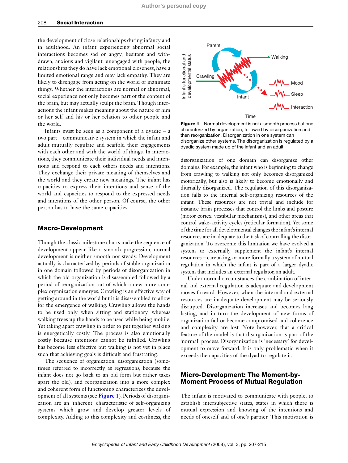the development of close relationships during infancy and in adulthood. An infant experiencing abnormal social interactions becomes sad or angry, hesitant and withdrawn, anxious and vigilant, unengaged with people, the relationships they do have lack emotional closeness, have a limited emotional range and may lack empathy. They are likely to disengage from acting on the world of inanimate things. Whether the interactions are normal or abnormal, social experience not only becomes part of the content of the brain, but may actually sculpt the brain. Though interactions the infant makes meaning about the nature of him or her self and his or her relation to other people and the world.

Infants must be seen as a component of a dyadic  $-$  a two part – communicative system in which the infant and adult mutually regulate and scaffold their engagements with each other and with the world of things. In interactions, they communicate their individual needs and intentions and respond to each others needs and intentions. They exchange their private meaning of themselves and the world and they create new meanings. The infant has capacities to express their intentions and sense of the world and capacities to respond to the expressed needs and intentions of the other person. Of course, the other person has to have the same capacities.

#### Macro-Development

Though the classic milestone charts make the sequence of development appear like a smooth progression, normal development is neither smooth nor steady. Development actually is characterized by periods of stable organization in one domain followed by periods of disorganization in which the old organization is disassembled followed by a period of reorganization out of which a new more complex organization emerges. Crawling is an effective way of getting around in the world but it is disassembled to allow for the emergence of walking. Crawling allows the hands to be used only when sitting and stationary, whereas walking frees up the hands to be used while being mobile. Yet taking apart crawling in order to put together walking is energetically costly. The process is also emotionally costly because intentions cannot be fulfilled. Crawling has become less effective but walking is not yet in place such that achieving goals is difficult and frustrating.

The sequence of organization, disorganization (sometimes referred to incorrectly as regressions, because the infant does not go back to an old form but rather takes apart the old), and reorganization into a more complex and coherent form of functioning characterizes the development of all systems (see Figure 1). Periods of disorganization are an 'inherent' characteristic of self-organizing systems which grow and develop greater levels of complexity. Adding to this complexity and costliness, the



Figure 1 Normal development is not a smooth process but one characterized by organization, followed by disorganization and then reorganization. Disorganization in one system can disorganize other systems. The disorganization is regulated by a dyadic system made up of the infant and an adult.

disorganization of one domain can disorganize other domains. For example, the infant who is beginning to change from crawling to walking not only becomes disorganized motorically, but also is likely to become emotionally and diurnally disorganized. The regulation of this disorganization falls to the internal self-organizing resources of the infant. These resources are not trivial and include for instance brain processes that control the limbs and posture (motor cortex, vestibular mechanisms), and other areas that control wake-activity cycles (reticular formation). Yet some of the time for all developmental changes the infant's internal resources are inadequate to the task of controlling the disorganization. To overcome this limitation we have evolved a system to externally supplement the infant's internal resources – caretaking, or more formally a system of mutual regulation in which the infant is part of a larger dyadic system that includes an external regulator, an adult. Figure 1 Normal development and one one for one of the interaction of the method of one interaction of the one of the one of the one of the one of the one of the one of the one of the one of the one of the method of the m

Under normal circumstances the combination of internal and external regulation is adequate and development moves forward. However, when the internal and external resources are inadequate development may be seriously disrupted. Disorganization increases and becomes long lasting, and in turn the development of new forms of organization fail or become compromised and coherence and complexity are lost. Note however, that a critical feature of the model is that disorganization is part of the 'normal' process. Disorganization is 'necessary' for development to move forward. It is only problematic when it exceeds the capacities of the dyad to regulate it.

## Micro-Development: The Moment-by-Moment Process of Mutual Regulation

The infant is motivated to communicate with people, to establish intersubjective states, states in which there is mutual expression and knowing of the intentions and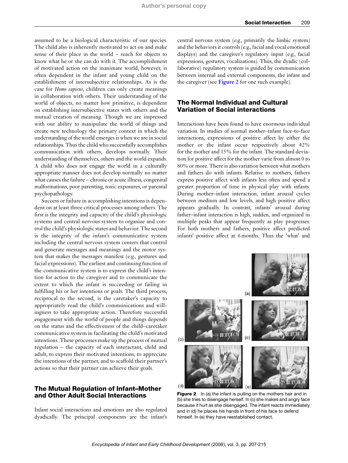assumed to be a biological characteristic of our species. The child also is inherently motivated to act on and make sense of their place in the world – reach for objects to know what he or she can do with it. The accomplishment of motivated action on the inanimate world, however, is often dependent in the infant and young child on the establishment of intersubjective relationships. As is the case for Homo sapiens, children can only create meanings in collaboration with others. Their understanding of the world of objects, no matter how primitive, is dependent on establishing intersubjective states with others and the mutual creation of meaning. Though we are impressed with our ability to manipulate the world of things and create new technology the primary context in which the understanding of the world emerges is when we are in social relationships. Thus the child who successfully accomplishes communication with others, develops normally. Their understanding of themselves, others and the world expands. A child who does not engage the world in a culturally appropriate manner does not develop normally no matter what causes the failure – chronic or acute illness, congenital malformations, poor parenting, toxic exposures, or parental psychopathology.

Success or failure in accomplishing intentions is dependent on at least three critical processes among others. The first is the integrity and capacity of the child's physiologic systems and central nervous system to organize and control the child's physiologic states and behavior. The second is the integrity of the infant's communicative system including the central nervous system centers that control and generate messages and meanings and the motor system that makes the messages manifest (e.g., gestures and facial expressions). The earliest and continuing function of the communicative system is to express the child's intention for action to the caregiver and to communicate the extent to which the infant is succeeding or failing in fulfilling his or her intentions or goals. The third process, reciprocal to the second, is the caretaker's capacity to appropriately read the child's communications and willingness to take appropriate action. Therefore successful engagement with the world of people and things depends on the status and the effectiveness of the child–caretaker communicative system in facilitating the child's motivated intentions. These processes make up the process of mutual regulation – the capacity of each interactant, child and adult, to express their motivated intentions, to appreciate the intentions of the partner, and to scaffold their partner's actions so that their partner can achieve their goals.

### The Mutual Regulation of Infant–Mother and Other Adult Social Interactions

Infant social interactions and emotions are also regulated dyadically. The principal components are the infant's central nervous system (e.g., primarily the limbic system) and the behaviors it controls (e.g., facial and vocal emotional displays) and the caregiver's regulatory input (e.g., facial expressions, gestures, vocalizations). Thus, the dyadic (collaborative) regulatory system is guided by communication between internal and external components, the infant and the caregiver (see Figure 2 for one such example).

## The Normal Individual and Cultural Variation of Social interactions

Interactions have been found to have enormous individual variation. In studies of normal mother–infant face-to-face interactions, expressions of positive affect by either the mother or the infant occur respectively about 42% for the mother and 15% for the infant. The standard deviation for positive affect for the mother varie from almost 0 to 80% or more. There is also variation between what mothers and fathers do with infants. Relative to mothers, fathers express positive affect with infants less often and spend a greater proportion of time in physical play with infants. During mother–infant interaction, infant arousal cycles between medium and low levels, and high positive affect appears gradually. In contrast, infants' arousal during father–infant interaction is high, sudden, and organized in multiple peaks that appear frequently as play progresses. For both mothers and fathers, positive affect predicted infants' positive affect at 6 months. Thus the 'what' and



**Figure 2** In (a) the infant is pulling on the mothers hair and in (b) she tries to disengage herself. In (c) she makes and angry face because it hurt as she disengaged. The infant reacts immediately and in (d) he places his hands in front of his face to defend himself. In (e) they have reestablished contact.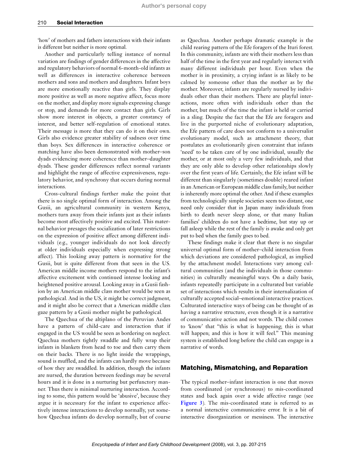'how' of mothers and fathers interactions with their infants is different but neither is more optimal.

Another and particularly telling instance of normal variation are findings of gender differences in the affective and regulatory behaviors of normal 6-month-old infants as well as differences in interactive coherence between mothers and sons and mothers and daughters. Infant boys are more emotionally reactive than girls. They display more positive as well as more negative affect, focus more on the mother, and display more signals expressing change or stop, and demands for more contact than girls. Girls show more interest in objects, a greater constancy of interest, and better self-regulation of emotional states. Their message is more that they can do it on their own. Girls also evidence greater stability of sadness over time than boys. Sex differences in interactive coherence or matching have also been demonstrated with mother–son dyads evidencing more coherence than mother–daughter dyads. These gender differences reflect normal variants and highlight the range of affective expressiveness, regulatory behavior, and synchrony that occurs during normal interactions.

Cross-cultural findings further make the point that there is no single optimal form of interaction. Among the Gusii, an agricultural community in western Kenya, mothers turn away from their infants just as their infants become most affectively positive and excited. This maternal behavior presages the socialization of later restrictions on the expression of positive affect among different individuals (e.g., younger individuals do not look directly at older individuals especially when expressing strong affect). This looking away pattern is normative for the Gusii, but is quite different from that seen in the US. American middle income mothers respond to the infant's affective excitement with continued intense looking and heightened positive arousal. Looking away in a Gusii fashion by an American middle class mother would be seen as pathological. And in the US, it might be correct judgment, and it might also be correct that a American middle class gaze pattern by a Gusii mother might be pathological.

The Quechua of the altiplano of the Peruvian Andes have a pattern of child-care and interaction that if engaged in the US would be seen as bordering on neglect. Quechua mothers tightly swaddle and fully wrap their infants in blankets from head to toe and then carry them on their backs. There is no light inside the wrappings, sound is muffled, and the infants can hardly move because of how they are swaddled. In addition, though the infants are nursed, the duration between feedings may be several hours and it is done in a nurturing but perfunctory manner. Thus there is minimal nurturing interaction. According to some, this pattern would be 'abusive', because they argue it is necessary for the infant to experience affectively intense interactions to develop normally, yet somehow Quechua infants do develop normally, but of course

as Quechua. Another perhaps dramatic example is the child rearing pattern of the Efe foragers of the Ituri forest. In this community, infants are with their mothers less than half of the time in the first year and regularly interact with many different individuals per hour. Even when the mother is in proximity, a crying infant is as likely to be calmed by someone other than the mother as by the mother. Moreover, infants are regularly nursed by individuals other than their mothers. There are playful interactions, more often with individuals other than the mother, but much of the time the infant is held or carried in a sling. Despite the fact that the Efe are foragers and live in the purported niche of evolutionary adaptation, the Efe pattern of care does not conform to a universalist evolutionary model, such as attachment theory, that postulates an evolutionarily given constraint that infants 'need' to be taken care of by one individual, usually the mother, or at most only a very few individuals, and that they are only able to develop other relationships slowly over the first years of life. Certainly, the Efe infant will be different than singularly (sometimes double) reared infant in an American or European middle class family, but neither is inherently more optimal the other. And if these examples from technologically simple societies seem too distant, one need only consider that in Japan many individuals from birth to death never sleep alone, or that many Italian families' children do not have a bedtime, but stay up or fall asleep while the rest of the family is awake and only get put to bed when the family goes to bed.

These findings make it clear that there is no singular universal optimal form of mother–child interaction from which deviations are considered pathological, as implied by the attachment model. Interactions vary among cultural communities (and the individuals in those communities) in culturally meaningful ways. On a daily basis, infants repeatedly participate in a culturated but variable set of interactions which results in their internalization of culturally accepted social–emotional interactive practices. Culturated interactive ways of being can be thought of as having a narrative structure, even though it is a narrative of communicative action and not words. The child comes to 'know' that ''this is what is happening; this is what will happen; and this is how it will feel." This meaning system is established long before the child can engage in a narrative of words.

#### Matching, Mismatching, and Reparation

The typical mother–infant interaction is one that moves from coordinated (or synchronous) to mis-coordinated states and back again over a wide affective range (see [Figure 3](#page-5-0)). The mis-coordinated state is referred to as a normal interactive communicative error. It is a bit of interactive disorganization or messiness. The interactive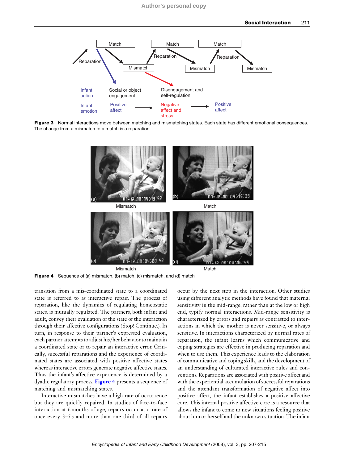<span id="page-5-0"></span>

Figure 3 Normal interactions move between matching and mismatching states. Each state has different emotional consequences. The change from a mismatch to a match is a reparation.



Figure 4 Sequence of (a) mismatch, (b) match, (c) mismatch, and (d) match

transition from a mis-coordinated state to a coordinated state is referred to as interactive repair. The process of reparation, like the dynamics of regulating homeostatic states, is mutually regulated. The partners, both infant and adult, convey their evaluation of the state of the interaction through their affective configurations (Stop! Continue.). In turn, in response to their partner's expressed evaluation, each partner attempts to adjust his/her behavior to maintain a coordinated state or to repair an interactive error. Critically, successful reparations and the experience of coordinated states are associated with positive affective states whereas interactive errors generate negative affective states. Thus the infant's affective experience is determined by a dyadic regulatory process. Figure 4 presents a sequence of matching and mismatching states.

Interactive mismatches have a high rate of occurrence but they are quickly repaired. In studies of face-to-face interaction at 6 months of age, repairs occur at a rate of once every 3–5 s and more than one-third of all repairs

occur by the next step in the interaction. Other studies using different analytic methods have found that maternal sensitivity in the mid-range, rather than at the low or high end, typify normal interactions. Mid-range sensitivity is characterized by errors and repairs as contrasted to interactions in which the mother is never sensitive, or always sensitive. In interactions characterized by normal rates of reparation, the infant learns which communicative and coping strategies are effective in producing reparation and when to use them. This experience leads to the elaboration of communicative and coping skills, and the development of an understanding of culturated interactive rules and conventions. Reparations are associated with positive affect and with the experiential accumulation of successful reparations and the attendant transformation of negative affect into positive affect, the infant establishes a positive affective core. This internal positive affective core is a resource that allows the infant to come to new situations feeling positive about him or herself and the unknown situation. The infant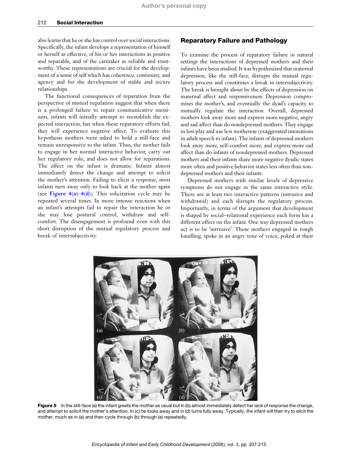also learns that he or she has control over social interactions. Specifically, the infant develops a representation of himself or herself as effective, of his or her interactions as positive and reparable, and of the caretaker as reliable and trustworthy. These representations are crucial for the development of a sense of self which has coherence, continuity, and agency and for the development of stable and secure relationships.

The functional consequences of reparation from the perspective of mutual regulation suggest that when there is a prolonged failure to repair communicative messiness, infants will initially attempt to reestablish the expected interaction, but when these reparatory efforts fail, they will experience negative affect. To evaluate this hypothesis mothers were asked to hold a still-face and remain unresponsive to the infant. Thus, the mother fails to engage in her normal interactive behavior, carry out her regulatory role, and does not allow for reparations. The effect on the infant is dramatic. Infants almost immediately detect the change and attempt to solicit the mother's attention. Failing to elicit a response, most infants turn away only to look back at the mother again (see Figure  $4(a) - 4(d)$ ). This solicitation cycle may be repeated several times. In more intense reactions when an infant's attempts fail to repair the interaction he or she may lose postural control, withdraw and selfcomfort. The disengagement is profound even with this short disruption of the mutual regulatory process and break of intersubjectivity.

#### Reparatory Failure and Pathology

To examine the process of reparatory failure in natural settings the interactions of depressed mothers and their infants have been studied. It was hypothesized that maternal depression, like the still-face, disrupts the mutual regulatory process and constitutes a break in intersubjectivity. The break is brought about by the effects of depression on maternal affect and responsiveness. Depression compromises the mother's, and eventually the dyad's capacity to mutually regulate the interaction. Overall, depressed mothers look away more and express more negative, angry and sad affect than do nondepressed mothers. They engage in less play and use less motherese (exaggerated intonations in adult speech to infant). The infants of depressed mothers look away more, self-comfort more, and express more sad affect than do infants of nondepressed mothers. Depressed mothers and their infants share more negative dyadic states more often and positive behavior states less often than nondepressed mothers and their infants.

Depressed mothers with similar levels of depressive symptoms do not engage in the same interactive style. There are at least two interactive patterns (intrusive and withdrawal) and each disrupts the regulatory process. Importantly, in terms of the argument that development is shaped by social–relational experience each form has a different effect on the infant. One way depressed mothers act is to be 'intrusive'. These mothers engaged in rough handling, spoke in an angry tone of voice, poked at their



Figure 5 In the still-face (a) the infant greets the mother as usual but in (b) almost immediately detect her lack of response the change, and attempt to solicit the mother's attention. In (c) he looks away and in (d) turns fully away. Typically, the infant will then try to elicit the mother, much as in (a) and then cycle through (b) through (a) repeatedly.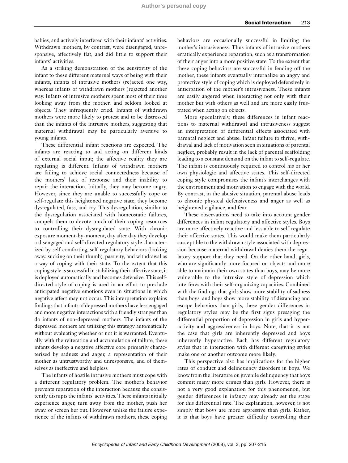babies, and actively interfered with their infants' activities. Withdrawn mothers, by contrast, were disengaged, unresponsive, affectively flat, and did little to support their infants' activities.

As a striking demonstration of the sensitivity of the infant to these different maternal ways of being with their infants, infants of intrusive mothers (re)acted one way, whereas infants of withdrawn mothers (re)acted another way. Infants of intrusive mothers spent most of their time looking away from the mother, and seldom looked at objects. They infrequently cried. Infants of withdrawn mothers were more likely to protest and to be distressed than the infants of the intrusive mothers, suggesting that maternal withdrawal may be particularly aversive to young infants.

These differential infant reactions are expected. The infants are reacting to and acting on different kinds of external social input; the affective reality they are regulating is different. Infants of withdrawn mothers are failing to achieve social connectedness because of the mothers' lack of response and their inability to repair the interaction. Initially, they may become angry. However, since they are unable to successfully cope or self-regulate this heightened negative state, they become dysregulated, fuss, and cry. This dysregulation, similar to the dysregulation associated with homeostatic failures, compels them to devote much of their coping resources to controlling their dysregulated state. With chronic exposure moment-by-moment, day after day they develop a disengaged and self-directed regulatory style characterized by self-comforting, self-regulatory behaviors (looking away, sucking on their thumb), passivity, and withdrawal as a way of coping with their state. To the extent that this coping style is successful in stabilizing their affective state, it is deployed automatically and becomes defensive. This selfdirected style of coping is used in an effort to preclude anticipated negative emotions even in situations in which negative affect may not occur. This interpretation explains findings that infants of depressed mothers have less engaged and more negative interactions with a friendly stranger than do infants of non-depressed mothers. The infants of the depressed mothers are utilizing this strategy automatically without evaluating whether or not it is warranted. Eventually with the reiteration and accumulation of failure, these infants develop a negative affective core primarily characterized by sadness and anger, a representation of their mother as untrustworthy and unresponsive, and of themselves as ineffective and helpless.

The infants of hostile intrusive mothers must cope with a different regulatory problem. The mother's behavior prevents reparation of the interaction because she consistently disrupts the infants' activities. These infants initially experience anger, turn away from the mother, push her away, or screen her out. However, unlike the failure experience of the infants of withdrawn mothers, these coping behaviors are occasionally successful in limiting the mother's intrusiveness. Thus infants of intrusive mothers erratically experience reparation, such as a transformation of their anger into a more positive state. To the extent that these coping behaviors are successful in fending off the mother, these infants eventually internalize an angry and protective style of coping which is deployed defensively in anticipation of the mother's intrusiveness. These infants are easily angered when interacting not only with their mother but with others as well and are more easily frustrated when acting on objects.

More speculatively, these differences in infant reactions to maternal withdrawal and intrusiveness suggest an interpretation of differential effects associated with parental neglect and abuse. Infant failure to thrive, withdrawal and lack of motivation seen in situations of parental neglect, probably result in the lack of parental scaffolding leading to a constant demand on the infant to self-regulate. The infant is continuously required to control his or her own physiologic and affective states. This self-directed coping style compromises the infant's interchanges with the environment and motivation to engage with the world. By contrast, in the abusive situation, parental abuse leads to chronic physical defensiveness and anger as well as heightened vigilance, and fear.

These observations need to take into account gender differences in infant regulatory and affective styles. Boys are more affectively reactive and less able to self-regulate their affective states. This would make them particularly susceptible to the withdrawn style associated with depression because maternal withdrawal denies them the regulatory support that they need. On the other hand, girls, who are significantly more focused on objects and more able to maintain their own states than boys, may be more vulnerable to the intrusive style of depression which interferes with their self-organizing capacities. Combined with the findings that girls show more stability of sadness than boys, and boys show more stability of distancing and escape behaviors than girls, these gender differences in regulatory styles may be the first signs presaging the differential proportion of depression in girls and hyperactivity and aggressiveness in boys. Note, that it is not the case that girls are inherently depressed and boys inherently hyperactive. Each has different regulatory styles that in interaction with different caregiving styles make one or another outcome more likely.

This perspective also has implications for the higher rates of conduct and delinquency disorders in boys. We know from the literature on juvenile delinquency that boys commit many more crimes than girls. However, there is not a very good explanation for this phenomenon, but gender differences in infancy may already set the stage for this differential rate. The explanation, however, is not simply that boys are more aggressive than girls. Rather, it is that boys have greater difficulty controlling their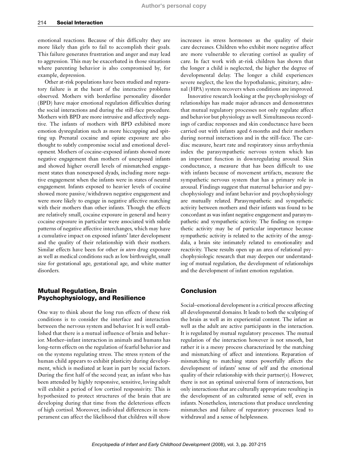emotional reactions. Because of this difficulty they are more likely than girls to fail to accomplish their goals. This failure generates frustration and anger and may lead to aggression. This may be exacerbated in those situations where parenting behavior is also compromised by, for example, depression.

Other at-risk populations have been studied and reparatory failure is at the heart of the interactive problems observed. Mothers with borderline personality disorder (BPD) have major emotional regulation difficulties during the social interactions and during the still-face procedure. Mothers with BPD are more intrusive and affectively negative. The infants of mothers with BPD exhibited more emotion dysregulation such as more hiccupping and spitting up. Prenatal cocaine and opiate exposure are also thought to subtly compromise social and emotional development. Mothers of cocaine-exposed infants showed more negative engagement than mothers of unexposed infants and showed higher overall levels of mismatched engagement states than nonexposed dyads, including more negative engagement when the infants were in states of neutral engagement. Infants exposed to heavier levels of cocaine showed more passive/withdrawn negative engagement and were more likely to engage in negative affective matching with their mothers than other infants. Though the effects are relatively small, cocaine exposure in general and heavy cocaine exposure in particular were associated with subtle patterns of negative affective interchanges, which may have a cumulative impact on exposed infants' later development and the quality of their relationship with their mothers. Similar effects have been for other in utero drug exposure as well as medical conditions such as low birthweight, small size for gestational age, gestational age, and white matter disorders.

## Mutual Regulation, Brain Psychophysiology, and Resilience

One way to think about the long run effects of these risk conditions is to consider the interface and interaction between the nervous system and behavior. It is well established that there is a mutual influence of brain and behavior. Mother–infant interaction in animals and humans has long-term effects on the regulation of fearful behavior and on the systems regulating stress. The stress system of the human child appears to exhibit plasticity during development, which is mediated at least in part by social factors. During the first half of the second year, an infant who has been attended by highly responsive, sensitive, loving adult will exhibit a period of low cortisol responsivity. This is hypothesized to protect structures of the brain that are developing during that time from the deleterious effects of high cortisol. Moreover, individual differences in temperament can affect the likelihood that children will show

increases in stress hormones as the quality of their care decreases. Children who exhibit more negative affect are more vulnerable to elevating cortisol as quality of care. In fact work with at-risk children has shown that the longer a child is neglected, the higher the degree of developmental delay. The longer a child experiences severe neglect, the less the hypothalamic, pituitary, adrenal (HPA) system recovers when conditions are improved.

Innovative research looking at the psychophysiology of relationships has made major advances and demonstrates that mutual regulatory processes not only regulate affect and behavior but physiology as well. Simultaneous recordings of cardiac responses and skin conductance have been carried out with infants aged 6 months and their mothers during normal interactions and in the still-face. The cardiac measure, heart rate and respiratory sinus arrhythmia index the parasympathetic nervous system which has an important function in downregulating arousal. Skin conductance, a measure that has been difficult to use with infants because of movement artifacts, measure the sympathetic nervous system that has a primary role in arousal. Findings suggest that maternal behavior and psychophysiology and infant behavior and psychophysiology are mutually related. Parasympathetic and sympathetic activity between mothers and their infants was found to be concordant as was infant negative engagement and parasympathetic and sympathetic activity. The finding on sympathetic activity may be of particular importance because sympathetic activity is related to the activity of the amygdala, a brain site intimately related to emotionality and reactivity. These results open up an area of relational psychophysiologic research that may deepen our understanding of mutual regulation, the development of relationships and the development of infant emotion regulation.

## Conclusion

Social–emotional development is a critical process affecting all developmental domains. It leads to both the sculpting of the brain as well as its experiential content. The infant as well as the adult are active participants in the interaction. It is regulated by mutual regulatory processes. The mutual regulation of the interaction however is not smooth, but rather it is a messy process characterized by the matching and mismatching of affect and intentions. Reparation of mismatching to matching states powerfully affects the development of infants' sense of self and the emotional quality of their relationship with their partner(s). However, there is not an optimal universal form of interactions, but only interactions that are culturally appropriate resulting in the development of an culturated sense of self, even in infants. Nonetheless, interactions that produce unrelenting mismatches and failure of reparatory processes lead to withdrawal and a sense of helplessness.